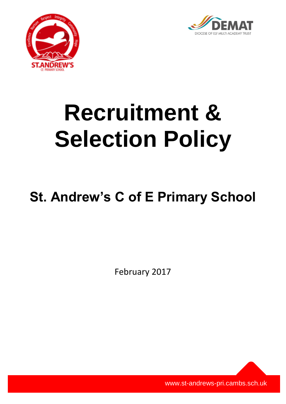



# **Recruitment & Selection Policy**

# **St. Andrew's C of E Primary School**

February 2017

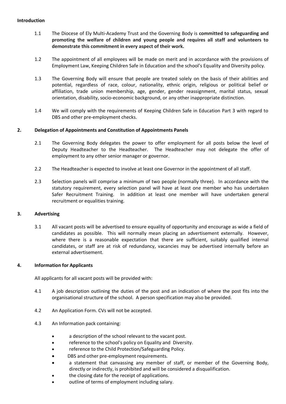#### **Introduction**

- 1.1 The Diocese of Ely Multi-Academy Trust and the Governing Body is **committed to safeguarding and promoting the welfare of children and young people and requires all staff and volunteers to demonstrate this commitment in every aspect of their work.**
- 1.2 The appointment of all employees will be made on merit and in accordance with the provisions of Employment Law, Keeping Children Safe in Education and the school's Equality and Diversity policy.
- 1.3 The Governing Body will ensure that people are treated solely on the basis of their abilities and potential, regardless of race, colour, nationality, ethnic origin, religious or political belief or affiliation, trade union membership, age, gender, gender reassignment, marital status, sexual orientation, disability, socio-economic background, or any other inappropriate distinction.
- 1.4 We will comply with the requirements of Keeping Children Safe in Education Part 3 with regard to DBS and other pre-employment checks.

### **2. Delegation of Appointments and Constitution of Appointments Panels**

- 2.1 The Governing Body delegates the power to offer employment for all posts below the level of Deputy Headteacher to the Headteacher. The Headteacher may not delegate the offer of employment to any other senior manager or governor.
- 2.2 The Headteacher is expected to involve at least one Governor in the appointment of all staff.
- 2.3 Selection panels will comprise a minimum of two people (normally three). In accordance with the statutory requirement, every selection panel will have at least one member who has undertaken Safer Recruitment Training. In addition at least one member will have undertaken general recruitment or equalities training.

### **3. Advertising**

3.1 All vacant posts will be advertised to ensure equality of opportunity and encourage as wide a field of candidates as possible. This will normally mean placing an advertisement externally. However, where there is a reasonable expectation that there are sufficient, suitably qualified internal candidates, or staff are at risk of redundancy, vacancies may be advertised internally before an external advertisement.

### **4. Information for Applicants**

All applicants for all vacant posts will be provided with:

- 4.1 A job description outlining the duties of the post and an indication of where the post fits into the organisational structure of the school. A person specification may also be provided.
- 4.2 An Application Form. CVs will not be accepted.
- 4.3 An Information pack containing:
	- a description of the school relevant to the vacant post.
	- reference to the school's policy on Equality and Diversity.
	- reference to the Child Protection/Safeguarding Policy.
	- DBS and other pre-employment requirements.
	- a statement that canvassing any member of staff, or member of the Governing Body, directly or indirectly, is prohibited and will be considered a disqualification.
	- the closing date for the receipt of applications.
	- outline of terms of employment including salary.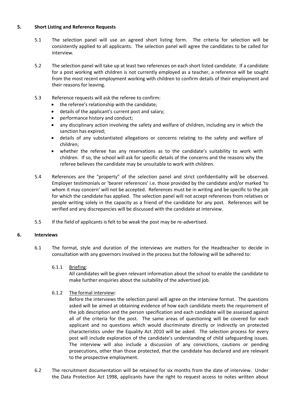### **5. Short Listing and Reference Requests**

- 5.1 The selection panel will use an agreed short listing form. The criteria for selection will be consistently applied to all applicants. The selection panel will agree the candidates to be called for interview.
- 5.2 The selection panel will take up at least two references on each short listed candidate. If a candidate for a post working with children is not currently employed as a teacher, a reference will be sought from the most recent employment working with children to confirm details of their employment and their reasons for leaving.
- 5.3 Reference requests will ask the referee to confirm:
	- the referee's relationship with the candidate;
	- details of the applicant's current post and salary;
	- performance history and conduct;
	- any disciplinary action involving the safety and welfare of children, including any in which the sanction has expired;
	- details of any substantiated allegations or concerns relating to the safety and welfare of children;
	- whether the referee has any reservations as to the candidate's suitability to work with children. If so, the school will ask for specific details of the concerns and the reasons why the referee believes the candidate may be unsuitable to work with children.
- 5.4 References are the "property" of the selection panel and strict confidentiality will be observed. Employer testimonials or 'bearer references' i.e. those provided by the candidate and/or marked 'to whom it may concern' will not be accepted. References must be in writing and be specific to the job for which the candidate has applied. The selection panel will not accept references from relatives or people writing solely in the capacity as a friend of the candidate for any post. References will be verified and any discrepancies will be discussed with the candidate at interview.
- 5.5 If the field of applicants is felt to be weak the post may be re-advertised.

# **6. Interviews**

6.1 The format, style and duration of the interviews are matters for the Headteacher to decide in consultation with any governors involved in the process but the following will be adhered to:

# 6.1.1 Briefing:

All candidates will be given relevant information about the school to enable the candidate to make further enquiries about the suitability of the advertised job.

# 6.1.2 The formal interview**:**

Before the interviews the selection panel will agree on the interview format. The questions asked will be aimed at obtaining evidence of how each candidate meets the requirement of the job description and the person specification and each candidate will be assessed against all of the criteria for the post. The same areas of questioning will be covered for each applicant and no questions which would discriminate directly or indirectly on protected characteristics under the Equality Act 2010 will be asked. The selection process for every post will include exploration of the candidate's understanding of child safeguarding issues. The interview will also include a discussion of any convictions, cautions or pending prosecutions, other than those protected, that the candidate has declared and are relevant to the prospective employment.

6.2 The recruitment documentation will be retained for six months from the date of interview. Under the Data Protection Act 1998, applicants have the right to request access to notes written about